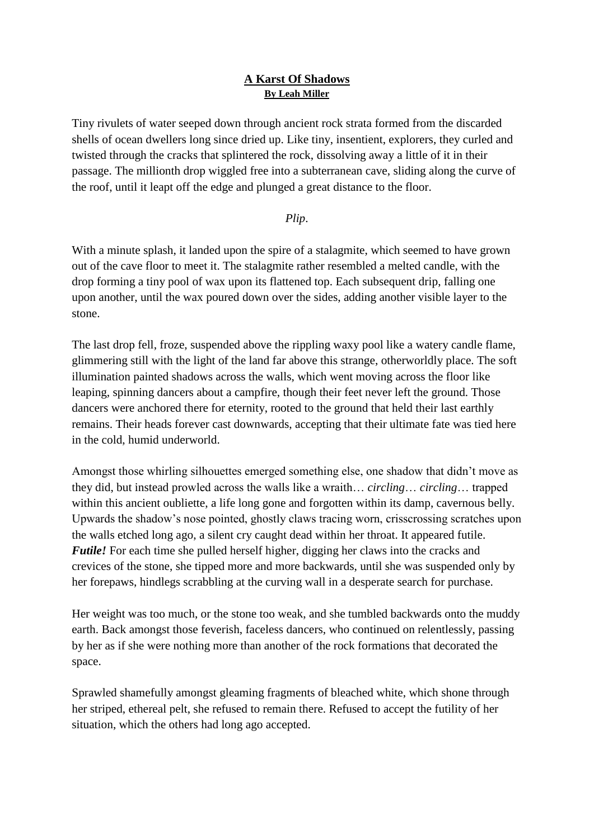# **A Karst Of Shadows By Leah Miller**

Tiny rivulets of water seeped down through ancient rock strata formed from the discarded shells of ocean dwellers long since dried up. Like tiny, insentient, explorers, they curled and twisted through the cracks that splintered the rock, dissolving away a little of it in their passage. The millionth drop wiggled free into a subterranean cave, sliding along the curve of the roof, until it leapt off the edge and plunged a great distance to the floor.

### *Plip*.

With a minute splash, it landed upon the spire of a stalagmite, which seemed to have grown out of the cave floor to meet it. The stalagmite rather resembled a melted candle, with the drop forming a tiny pool of wax upon its flattened top. Each subsequent drip, falling one upon another, until the wax poured down over the sides, adding another visible layer to the stone.

The last drop fell, froze, suspended above the rippling waxy pool like a watery candle flame, glimmering still with the light of the land far above this strange, otherworldly place. The soft illumination painted shadows across the walls, which went moving across the floor like leaping, spinning dancers about a campfire, though their feet never left the ground. Those dancers were anchored there for eternity, rooted to the ground that held their last earthly remains. Their heads forever cast downwards, accepting that their ultimate fate was tied here in the cold, humid underworld.

Amongst those whirling silhouettes emerged something else, one shadow that didn't move as they did, but instead prowled across the walls like a wraith… *circling*… *circling*… trapped within this ancient oubliette, a life long gone and forgotten within its damp, cavernous belly. Upwards the shadow's nose pointed, ghostly claws tracing worn, crisscrossing scratches upon the walls etched long ago, a silent cry caught dead within her throat. It appeared futile. *Futile!* For each time she pulled herself higher, digging her claws into the cracks and crevices of the stone, she tipped more and more backwards, until she was suspended only by her forepaws, hindlegs scrabbling at the curving wall in a desperate search for purchase.

Her weight was too much, or the stone too weak, and she tumbled backwards onto the muddy earth. Back amongst those feverish, faceless dancers, who continued on relentlessly, passing by her as if she were nothing more than another of the rock formations that decorated the space.

Sprawled shamefully amongst gleaming fragments of bleached white, which shone through her striped, ethereal pelt, she refused to remain there. Refused to accept the futility of her situation, which the others had long ago accepted.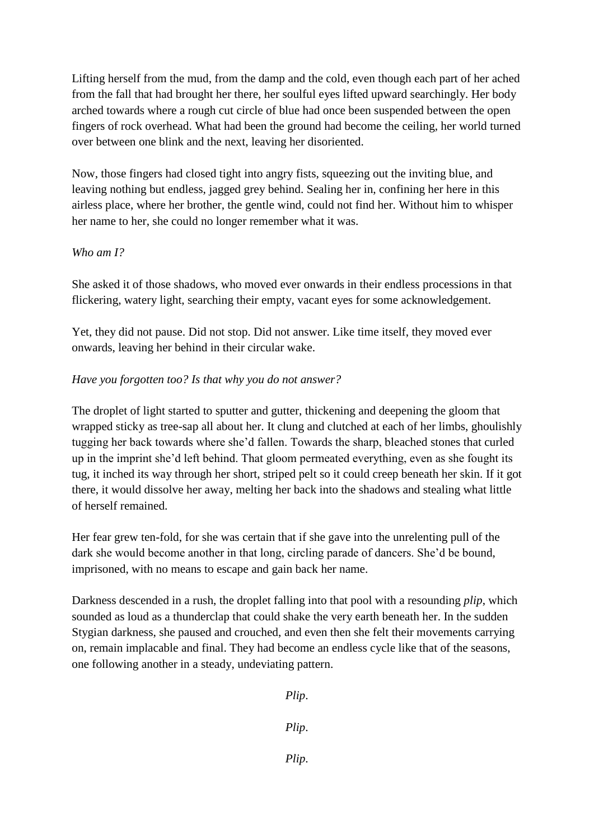Lifting herself from the mud, from the damp and the cold, even though each part of her ached from the fall that had brought her there, her soulful eyes lifted upward searchingly. Her body arched towards where a rough cut circle of blue had once been suspended between the open fingers of rock overhead. What had been the ground had become the ceiling, her world turned over between one blink and the next, leaving her disoriented.

Now, those fingers had closed tight into angry fists, squeezing out the inviting blue, and leaving nothing but endless, jagged grey behind. Sealing her in, confining her here in this airless place, where her brother, the gentle wind, could not find her. Without him to whisper her name to her, she could no longer remember what it was.

### *Who am I?*

She asked it of those shadows, who moved ever onwards in their endless processions in that flickering, watery light, searching their empty, vacant eyes for some acknowledgement.

Yet, they did not pause. Did not stop. Did not answer. Like time itself, they moved ever onwards, leaving her behind in their circular wake.

# *Have you forgotten too? Is that why you do not answer?*

The droplet of light started to sputter and gutter, thickening and deepening the gloom that wrapped sticky as tree-sap all about her. It clung and clutched at each of her limbs, ghoulishly tugging her back towards where she'd fallen. Towards the sharp, bleached stones that curled up in the imprint she'd left behind. That gloom permeated everything, even as she fought its tug, it inched its way through her short, striped pelt so it could creep beneath her skin. If it got there, it would dissolve her away, melting her back into the shadows and stealing what little of herself remained.

Her fear grew ten-fold, for she was certain that if she gave into the unrelenting pull of the dark she would become another in that long, circling parade of dancers. She'd be bound, imprisoned, with no means to escape and gain back her name.

Darkness descended in a rush, the droplet falling into that pool with a resounding *plip*, which sounded as loud as a thunderclap that could shake the very earth beneath her. In the sudden Stygian darkness, she paused and crouched, and even then she felt their movements carrying on, remain implacable and final. They had become an endless cycle like that of the seasons, one following another in a steady, undeviating pattern.

*Plip*.

*Plip*.

*Plip*.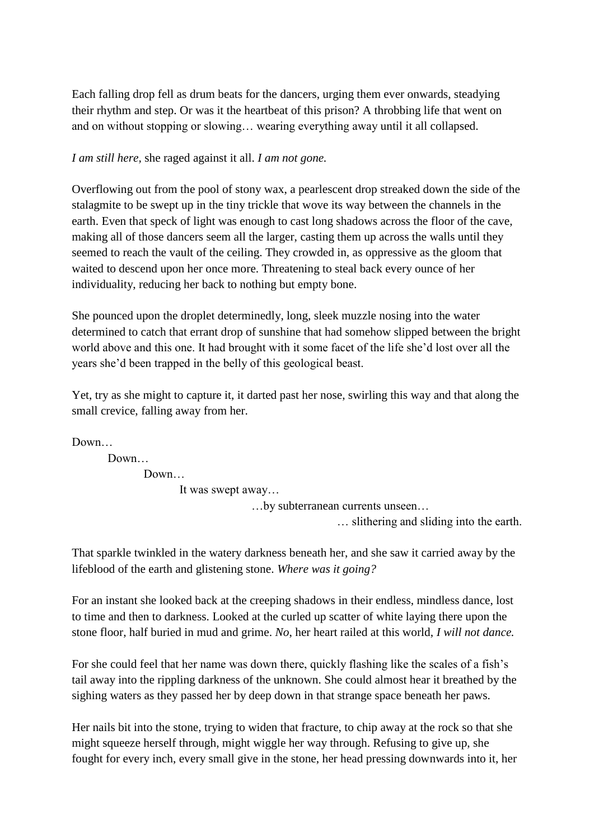Each falling drop fell as drum beats for the dancers, urging them ever onwards, steadying their rhythm and step. Or was it the heartbeat of this prison? A throbbing life that went on and on without stopping or slowing… wearing everything away until it all collapsed.

*I am still here,* she raged against it all. *I am not gone.* 

Overflowing out from the pool of stony wax, a pearlescent drop streaked down the side of the stalagmite to be swept up in the tiny trickle that wove its way between the channels in the earth. Even that speck of light was enough to cast long shadows across the floor of the cave, making all of those dancers seem all the larger, casting them up across the walls until they seemed to reach the vault of the ceiling. They crowded in, as oppressive as the gloom that waited to descend upon her once more. Threatening to steal back every ounce of her individuality, reducing her back to nothing but empty bone.

She pounced upon the droplet determinedly, long, sleek muzzle nosing into the water determined to catch that errant drop of sunshine that had somehow slipped between the bright world above and this one. It had brought with it some facet of the life she'd lost over all the years she'd been trapped in the belly of this geological beast.

Yet, try as she might to capture it, it darted past her nose, swirling this way and that along the small crevice, falling away from her.

Down…

Down… Down… It was swept away… …by subterranean currents unseen…

… slithering and sliding into the earth.

That sparkle twinkled in the watery darkness beneath her, and she saw it carried away by the lifeblood of the earth and glistening stone. *Where was it going?*

For an instant she looked back at the creeping shadows in their endless, mindless dance, lost to time and then to darkness. Looked at the curled up scatter of white laying there upon the stone floor, half buried in mud and grime. *No*, her heart railed at this world, *I will not dance.*

For she could feel that her name was down there, quickly flashing like the scales of a fish's tail away into the rippling darkness of the unknown. She could almost hear it breathed by the sighing waters as they passed her by deep down in that strange space beneath her paws.

Her nails bit into the stone, trying to widen that fracture, to chip away at the rock so that she might squeeze herself through, might wiggle her way through. Refusing to give up, she fought for every inch, every small give in the stone, her head pressing downwards into it, her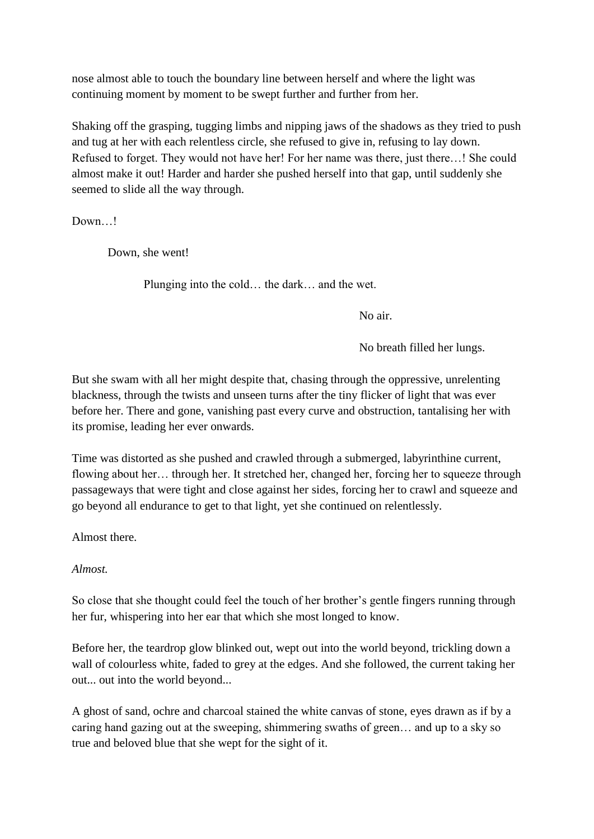nose almost able to touch the boundary line between herself and where the light was continuing moment by moment to be swept further and further from her.

Shaking off the grasping, tugging limbs and nipping jaws of the shadows as they tried to push and tug at her with each relentless circle, she refused to give in, refusing to lay down. Refused to forget. They would not have her! For her name was there, just there…! She could almost make it out! Harder and harder she pushed herself into that gap, until suddenly she seemed to slide all the way through.

Down…!

Down, she went!

Plunging into the cold… the dark… and the wet.

No air.

No breath filled her lungs.

But she swam with all her might despite that, chasing through the oppressive, unrelenting blackness, through the twists and unseen turns after the tiny flicker of light that was ever before her. There and gone, vanishing past every curve and obstruction, tantalising her with its promise, leading her ever onwards.

Time was distorted as she pushed and crawled through a submerged, labyrinthine current, flowing about her… through her. It stretched her, changed her, forcing her to squeeze through passageways that were tight and close against her sides, forcing her to crawl and squeeze and go beyond all endurance to get to that light, yet she continued on relentlessly.

Almost there.

*Almost.* 

So close that she thought could feel the touch of her brother's gentle fingers running through her fur, whispering into her ear that which she most longed to know.

Before her, the teardrop glow blinked out, wept out into the world beyond, trickling down a wall of colourless white, faded to grey at the edges. And she followed, the current taking her out... out into the world beyond...

A ghost of sand, ochre and charcoal stained the white canvas of stone, eyes drawn as if by a caring hand gazing out at the sweeping, shimmering swaths of green… and up to a sky so true and beloved blue that she wept for the sight of it.